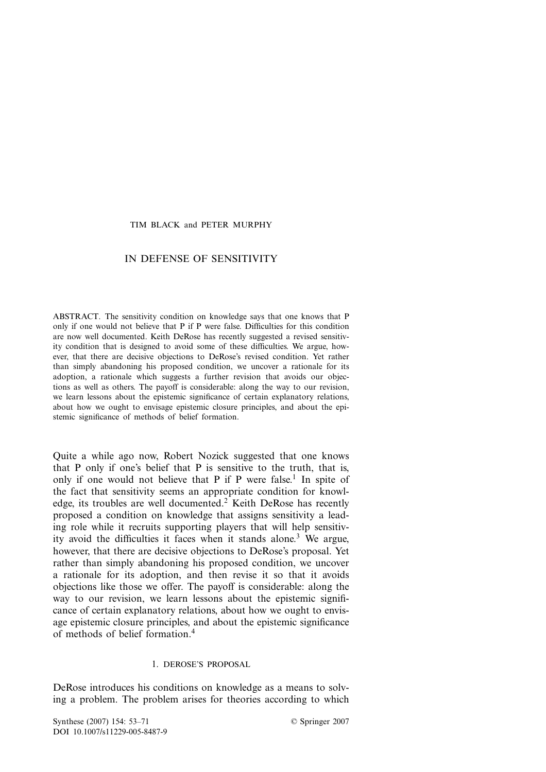### TIM BLACK and PETER MURPHY

## IN DEFENSE OF SENSITIVITY

ABSTRACT. The sensitivity condition on knowledge says that one knows that P only if one would not believe that P if P were false. Difficulties for this condition are now well documented. Keith DeRose has recently suggested a revised sensitivity condition that is designed to avoid some of these difficulties. We argue, however, that there are decisive objections to DeRose's revised condition. Yet rather than simply abandoning his proposed condition, we uncover a rationale for its adoption, a rationale which suggests a further revision that avoids our objections as well as others. The payoff is considerable: along the way to our revision, we learn lessons about the epistemic significance of certain explanatory relations, about how we ought to envisage epistemic closure principles, and about the epistemic significance of methods of belief formation.

Quite a while ago now, Robert Nozick suggested that one knows that P only if one's belief that P is sensitive to the truth, that is, only if one would not believe that  $P$  if  $P$  were false.<sup>1</sup> In spite of the fact that sensitivity seems an appropriate condition for knowledge, its troubles are well documented.<sup>2</sup> Keith DeRose has recently proposed a condition on knowledge that assigns sensitivity a leading role while it recruits supporting players that will help sensitivity avoid the difficulties it faces when it stands alone.<sup>3</sup> We argue, however, that there are decisive objections to DeRose's proposal. Yet rather than simply abandoning his proposed condition, we uncover a rationale for its adoption, and then revise it so that it avoids objections like those we offer. The payoff is considerable: along the way to our revision, we learn lessons about the epistemic significance of certain explanatory relations, about how we ought to envisage epistemic closure principles, and about the epistemic significance of methods of belief formation 4

## 1. DEROSE'S PROPOSAL

DeRose introduces his conditions on knowledge as a means to solving a problem. The problem arises for theories according to which

Synthese (2007) 154: 53–71 © Springer 2007 DOI 10.1007/s11229-005-8487-9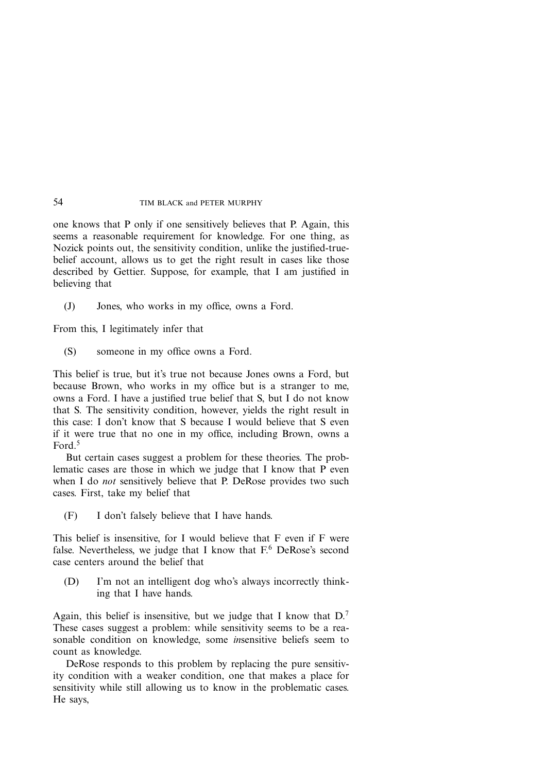one knows that P only if one sensitively believes that P. Again, this seems a reasonable requirement for knowledge. For one thing, as Nozick points out, the sensitivity condition, unlike the justified-truebelief account, allows us to get the right result in cases like those described by Gettier. Suppose, for example, that I am justified in believing that

(J) Jones, who works in my office, owns a Ford.

From this, I legitimately infer that

(S) someone in my office owns a Ford.

This belief is true, but it's true not because Jones owns a Ford, but because Brown, who works in my office but is a stranger to me, owns a Ford. I have a justified true belief that S, but I do not know that S. The sensitivity condition, however, yields the right result in this case: I don't know that S because I would believe that S even if it were true that no one in my office, including Brown, owns a Ford.<sup>5</sup>

But certain cases suggest a problem for these theories. The problematic cases are those in which we judge that I know that P even when I do *not* sensitively believe that P. DeRose provides two such cases. First, take my belief that

(F) I don't falsely believe that I have hands.

This belief is insensitive, for I would believe that F even if F were false. Nevertheless, we judge that I know that  $F<sup>6</sup>$  DeRose's second case centers around the belief that

(D) I'm not an intelligent dog who's always incorrectly thinking that I have hands.

Again, this belief is insensitive, but we judge that I know that  $D<sup>7</sup>$ These cases suggest a problem: while sensitivity seems to be a reasonable condition on knowledge, some *in*sensitive beliefs seem to count as knowledge.

DeRose responds to this problem by replacing the pure sensitivity condition with a weaker condition, one that makes a place for sensitivity while still allowing us to know in the problematic cases. He says,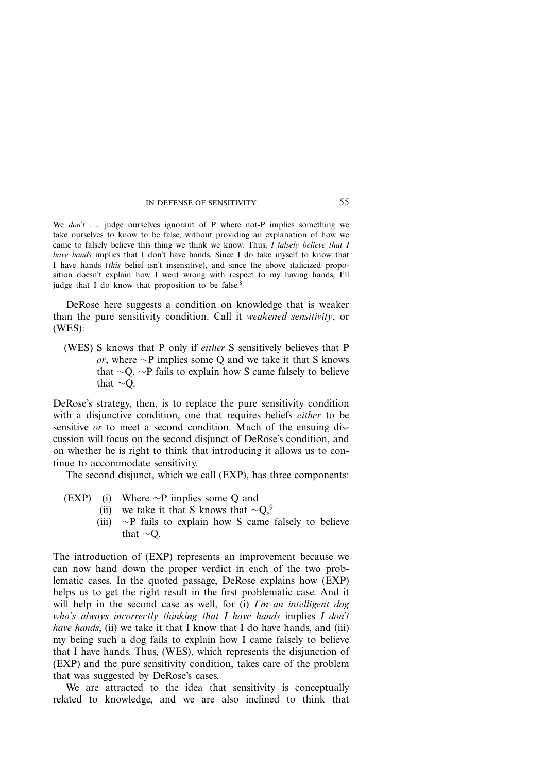We *don't* ... judge ourselves ignorant of P where not-P implies something we take ourselves to know to be false, without providing an explanation of how we came to falsely believe this thing we think we know. Thus, *I falsely believe that I have hands* implies that I don't have hands. Since I do take myself to know that I have hands (*this* belief isn't insensitive), and since the above italicized proposition doesn't explain how I went wrong with respect to my having hands, I'll judge that I do know that proposition to be false. $8$ 

DeRose here suggests a condition on knowledge that is weaker than the pure sensitivity condition. Call it *weakened sensitivity*, or (WES):

(WES) S knows that P only if *either* S sensitively believes that P *or*, where ∼P implies some Q and we take it that S knows that ∼Q, ∼P fails to explain how S came falsely to believe that ∼Q.

DeRose's strategy, then, is to replace the pure sensitivity condition with a disjunctive condition, one that requires beliefs *either* to be sensitive *or* to meet a second condition. Much of the ensuing discussion will focus on the second disjunct of DeRose's condition, and on whether he is right to think that introducing it allows us to continue to accommodate sensitivity.

The second disjunct, which we call (EXP), has three components:

- (EXP) (i) Where ∼P implies some Q and
	- (ii) we take it that S knows that  $\sim Q$ ,<sup>9</sup>
	- (iii) ∼P fails to explain how S came falsely to believe that ∼Q.

The introduction of (EXP) represents an improvement because we can now hand down the proper verdict in each of the two problematic cases. In the quoted passage, DeRose explains how (EXP) helps us to get the right result in the first problematic case. And it will help in the second case as well, for (i) *I'm an intelligent dog who's always incorrectly thinking that I have hands* implies *I don't have hands*, (ii) we take it that I know that I do have hands, and (iii) my being such a dog fails to explain how I came falsely to believe that I have hands. Thus, (WES), which represents the disjunction of (EXP) and the pure sensitivity condition, takes care of the problem that was suggested by DeRose's cases.

We are attracted to the idea that sensitivity is conceptually related to knowledge, and we are also inclined to think that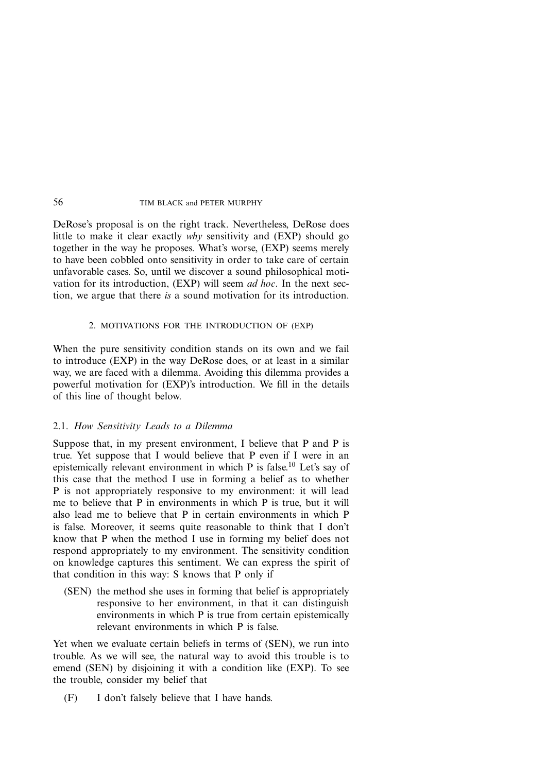DeRose's proposal is on the right track. Nevertheless, DeRose does little to make it clear exactly *why* sensitivity and (EXP) should go together in the way he proposes. What's worse, (EXP) seems merely to have been cobbled onto sensitivity in order to take care of certain unfavorable cases. So, until we discover a sound philosophical motivation for its introduction, (EXP) will seem *ad hoc*. In the next section, we argue that there *is* a sound motivation for its introduction.

## 2. MOTIVATIONS FOR THE INTRODUCTION OF (EXP)

When the pure sensitivity condition stands on its own and we fail to introduce (EXP) in the way DeRose does, or at least in a similar way, we are faced with a dilemma. Avoiding this dilemma provides a powerful motivation for (EXP)'s introduction. We fill in the details of this line of thought below.

# 2.1. *How Sensitivity Leads to a Dilemma*

Suppose that, in my present environment, I believe that P and P is true. Yet suppose that I would believe that P even if I were in an epistemically relevant environment in which  $P$  is false.<sup>10</sup> Let's say of this case that the method I use in forming a belief as to whether P is not appropriately responsive to my environment: it will lead me to believe that P in environments in which P is true, but it will also lead me to believe that P in certain environments in which P is false. Moreover, it seems quite reasonable to think that I don't know that P when the method I use in forming my belief does not respond appropriately to my environment. The sensitivity condition on knowledge captures this sentiment. We can express the spirit of that condition in this way: S knows that P only if

(SEN) the method she uses in forming that belief is appropriately responsive to her environment, in that it can distinguish environments in which P is true from certain epistemically relevant environments in which P is false.

Yet when we evaluate certain beliefs in terms of (SEN), we run into trouble. As we will see, the natural way to avoid this trouble is to emend (SEN) by disjoining it with a condition like (EXP). To see the trouble, consider my belief that

(F) I don't falsely believe that I have hands.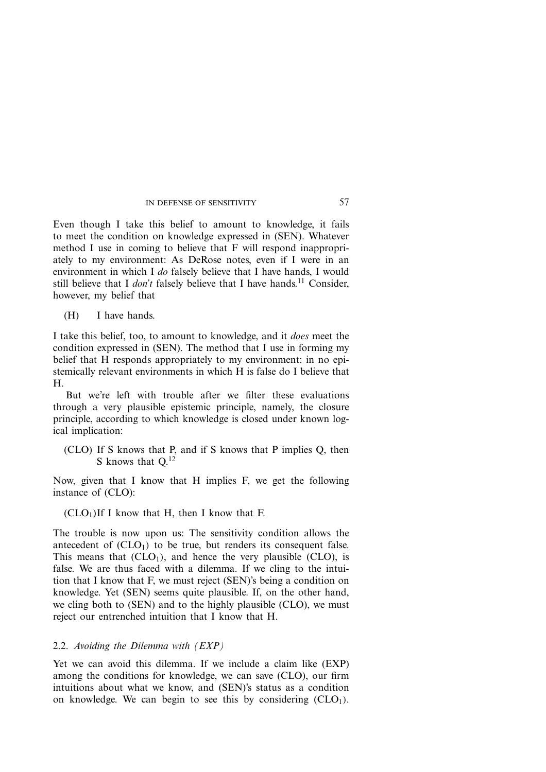Even though I take this belief to amount to knowledge, it fails to meet the condition on knowledge expressed in (SEN). Whatever method I use in coming to believe that F will respond inappropriately to my environment: As DeRose notes, even if I were in an environment in which I *do* falsely believe that I have hands, I would still believe that I *don't* falsely believe that I have hands.<sup>11</sup> Consider, however, my belief that

(H) I have hands.

I take this belief, too, to amount to knowledge, and it *does* meet the condition expressed in (SEN). The method that I use in forming my belief that H responds appropriately to my environment: in no epistemically relevant environments in which H is false do I believe that H.

But we're left with trouble after we filter these evaluations through a very plausible epistemic principle, namely, the closure principle, according to which knowledge is closed under known logical implication:

(CLO) If S knows that P, and if S knows that P implies Q, then S knows that  $Q^{12}$ 

Now, given that I know that H implies F, we get the following instance of (CLO):

 $(CLO<sub>1</sub>)$ If I know that H, then I know that F.

The trouble is now upon us: The sensitivity condition allows the antecedent of  $(CLO<sub>1</sub>)$  to be true, but renders its consequent false. This means that  $(CLO<sub>1</sub>)$ , and hence the very plausible  $(CLO)$ , is false. We are thus faced with a dilemma. If we cling to the intuition that I know that F, we must reject (SEN)'s being a condition on knowledge. Yet (SEN) seems quite plausible. If, on the other hand, we cling both to (SEN) and to the highly plausible (CLO), we must reject our entrenched intuition that I know that H.

# 2.2. *Avoiding the Dilemma with (EXP)*

Yet we can avoid this dilemma. If we include a claim like (EXP) among the conditions for knowledge, we can save (CLO), our firm intuitions about what we know, and (SEN)'s status as a condition on knowledge. We can begin to see this by considering  $(CLO<sub>1</sub>)$ .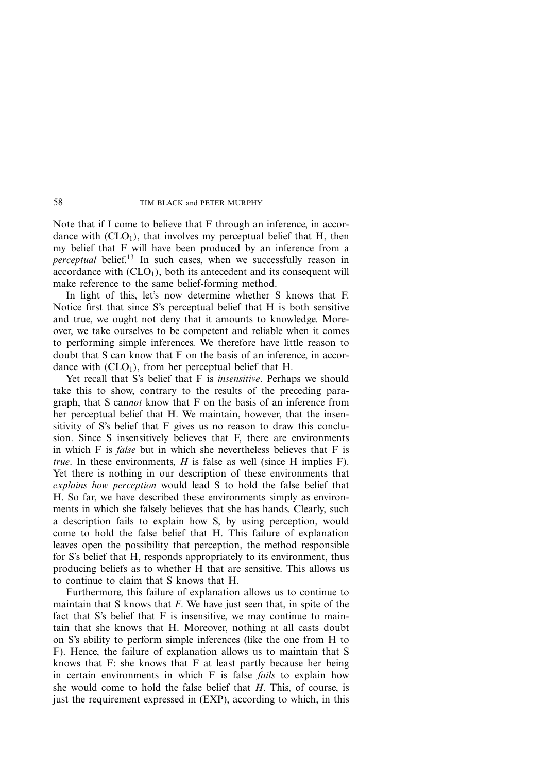Note that if I come to believe that F through an inference, in accordance with  $(CLO<sub>1</sub>)$ , that involves my perceptual belief that H, then my belief that F will have been produced by an inference from a *perceptual* belief.<sup>13</sup> In such cases, when we successfully reason in accordance with  $(CLO_1)$ , both its antecedent and its consequent will make reference to the same belief-forming method.

In light of this, let's now determine whether S knows that F. Notice first that since S's perceptual belief that H is both sensitive and true, we ought not deny that it amounts to knowledge. Moreover, we take ourselves to be competent and reliable when it comes to performing simple inferences. We therefore have little reason to doubt that S can know that F on the basis of an inference, in accordance with  $(CLO<sub>1</sub>)$ , from her perceptual belief that H.

Yet recall that S's belief that F is *insensitive*. Perhaps we should take this to show, contrary to the results of the preceding paragraph, that S can*not* know that F on the basis of an inference from her perceptual belief that H. We maintain, however, that the insensitivity of S's belief that F gives us no reason to draw this conclusion. Since S insensitively believes that F, there are environments in which F is *false* but in which she nevertheless believes that F is *true*. In these environments, *H* is false as well (since H implies F). Yet there is nothing in our description of these environments that *explains how perception* would lead S to hold the false belief that H. So far, we have described these environments simply as environments in which she falsely believes that she has hands. Clearly, such a description fails to explain how S, by using perception, would come to hold the false belief that H. This failure of explanation leaves open the possibility that perception, the method responsible for S's belief that H, responds appropriately to its environment, thus producing beliefs as to whether H that are sensitive. This allows us to continue to claim that S knows that H.

Furthermore, this failure of explanation allows us to continue to maintain that S knows that *F*. We have just seen that, in spite of the fact that S's belief that F is insensitive, we may continue to maintain that she knows that H. Moreover, nothing at all casts doubt on S's ability to perform simple inferences (like the one from H to F). Hence, the failure of explanation allows us to maintain that S knows that F: she knows that F at least partly because her being in certain environments in which F is false *fails* to explain how she would come to hold the false belief that *H*. This, of course, is just the requirement expressed in (EXP), according to which, in this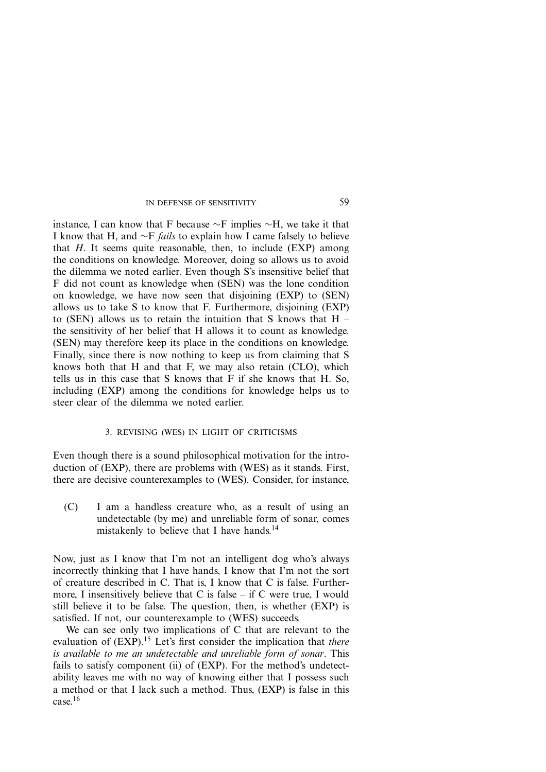instance, I can know that F because ∼F implies ∼H, we take it that I know that H, and ∼F *fails* to explain how I came falsely to believe that *H*. It seems quite reasonable, then, to include (EXP) among the conditions on knowledge. Moreover, doing so allows us to avoid the dilemma we noted earlier. Even though S's insensitive belief that F did not count as knowledge when (SEN) was the lone condition on knowledge, we have now seen that disjoining (EXP) to (SEN) allows us to take S to know that F. Furthermore, disjoining (EXP) to (SEN) allows us to retain the intuition that S knows that  $H$ the sensitivity of her belief that H allows it to count as knowledge. (SEN) may therefore keep its place in the conditions on knowledge. Finally, since there is now nothing to keep us from claiming that S knows both that H and that F, we may also retain (CLO), which tells us in this case that S knows that F if she knows that H. So, including (EXP) among the conditions for knowledge helps us to steer clear of the dilemma we noted earlier.

## 3. REVISING (WES) IN LIGHT OF CRITICISMS

Even though there is a sound philosophical motivation for the introduction of (EXP), there are problems with (WES) as it stands. First, there are decisive counterexamples to (WES). Consider, for instance,

(C) I am a handless creature who, as a result of using an undetectable (by me) and unreliable form of sonar, comes mistakenly to believe that I have hands.<sup>14</sup>

Now, just as I know that I'm not an intelligent dog who's always incorrectly thinking that I have hands, I know that I'm not the sort of creature described in C. That is, I know that C is false. Furthermore, I insensitively believe that C is false – if C were true, I would still believe it to be false. The question, then, is whether (EXP) is satisfied. If not, our counterexample to (WES) succeeds.

We can see only two implications of C that are relevant to the evaluation of (EXP).<sup>15</sup> Let's first consider the implication that *there is available to me an undetectable and unreliable form of sonar*. This fails to satisfy component (ii) of (EXP). For the method's undetectability leaves me with no way of knowing either that I possess such a method or that I lack such a method. Thus, (EXP) is false in this case.<sup>16</sup>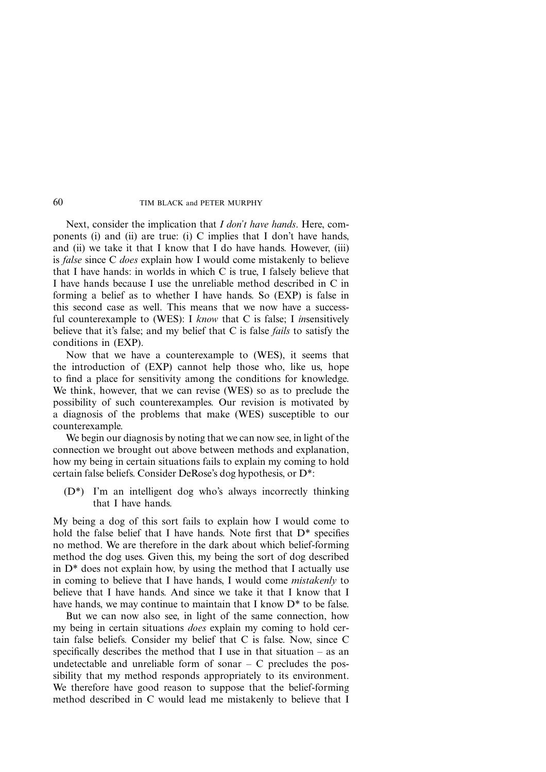Next, consider the implication that *I don't have hands*. Here, components (i) and (ii) are true: (i) C implies that I don't have hands, and (ii) we take it that I know that I do have hands. However,  $(iii)$ is *false* since C *does* explain how I would come mistakenly to believe that I have hands: in worlds in which C is true, I falsely believe that I have hands because I use the unreliable method described in C in forming a belief as to whether I have hands. So (EXP) is false in this second case as well. This means that we now have a successful counterexample to (WES): I *know* that C is false; I *in*sensitively believe that it's false; and my belief that C is false *fails* to satisfy the conditions in (EXP).

Now that we have a counterexample to (WES), it seems that the introduction of (EXP) cannot help those who, like us, hope to find a place for sensitivity among the conditions for knowledge. We think, however, that we can revise (WES) so as to preclude the possibility of such counterexamples. Our revision is motivated by a diagnosis of the problems that make (WES) susceptible to our counterexample.

We begin our diagnosis by noting that we can now see, in light of the connection we brought out above between methods and explanation, how my being in certain situations fails to explain my coming to hold certain false beliefs. Consider DeRose's dog hypothesis, or D\*:

(D\*) I'm an intelligent dog who's always incorrectly thinking that I have hands.

My being a dog of this sort fails to explain how I would come to hold the false belief that I have hands. Note first that D<sup>\*</sup> specifies no method. We are therefore in the dark about which belief-forming method the dog uses. Given this, my being the sort of dog described in  $D^*$  does not explain how, by using the method that I actually use in coming to believe that I have hands, I would come *mistakenly* to believe that I have hands. And since we take it that I know that I have hands, we may continue to maintain that I know  $D^*$  to be false.

But we can now also see, in light of the same connection, how my being in certain situations *does* explain my coming to hold certain false beliefs. Consider my belief that C is false. Now, since C specifically describes the method that I use in that situation – as an undetectable and unreliable form of sonar  $-$  C precludes the possibility that my method responds appropriately to its environment. We therefore have good reason to suppose that the belief-forming method described in C would lead me mistakenly to believe that I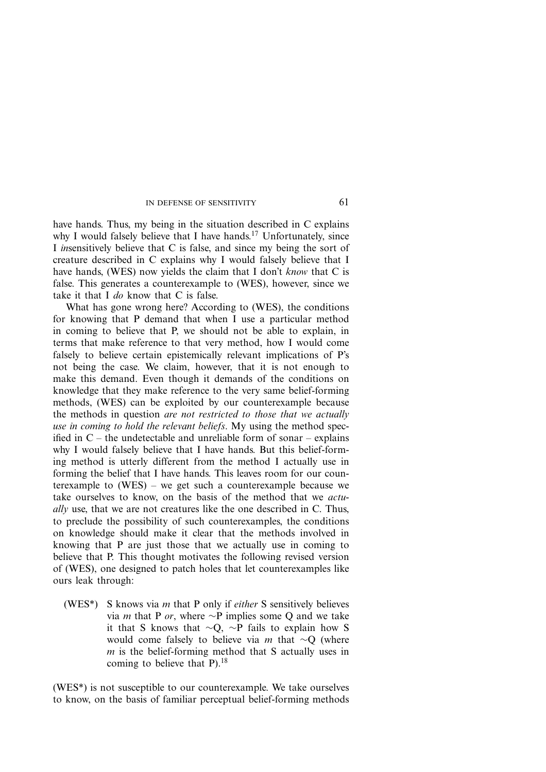have hands. Thus, my being in the situation described in C explains why I would falsely believe that I have hands.<sup>17</sup> Unfortunately, since I *in*sensitively believe that C is false, and since my being the sort of creature described in C explains why I would falsely believe that I have hands, (WES) now yields the claim that I don't *know* that C is false. This generates a counterexample to (WES), however, since we take it that I *do* know that C is false.

What has gone wrong here? According to (WES), the conditions for knowing that P demand that when I use a particular method in coming to believe that P, we should not be able to explain, in terms that make reference to that very method, how I would come falsely to believe certain epistemically relevant implications of P's not being the case. We claim, however, that it is not enough to make this demand. Even though it demands of the conditions on knowledge that they make reference to the very same belief-forming methods, (WES) can be exploited by our counterexample because the methods in question *are not restricted to those that we actually use in coming to hold the relevant beliefs*. My using the method specified in  $C$  – the undetectable and unreliable form of sonar – explains why I would falsely believe that I have hands. But this belief-forming method is utterly different from the method I actually use in forming the belief that I have hands. This leaves room for our counterexample to (WES) – we get such a counterexample because we take ourselves to know, on the basis of the method that we *actually* use, that we are not creatures like the one described in C. Thus, to preclude the possibility of such counterexamples, the conditions on knowledge should make it clear that the methods involved in knowing that P are just those that we actually use in coming to believe that P. This thought motivates the following revised version of (WES), one designed to patch holes that let counterexamples like ours leak through:

(WES\*) S knows via *m* that P only if *either* S sensitively believes via *m* that P *or*, where ∼P implies some Q and we take it that S knows that ∼Q, ∼P fails to explain how S would come falsely to believe via *m* that ∼Q (where *m* is the belief-forming method that S actually uses in coming to believe that  $P$ ).<sup>18</sup>

(WES\*) is not susceptible to our counterexample. We take ourselves to know, on the basis of familiar perceptual belief-forming methods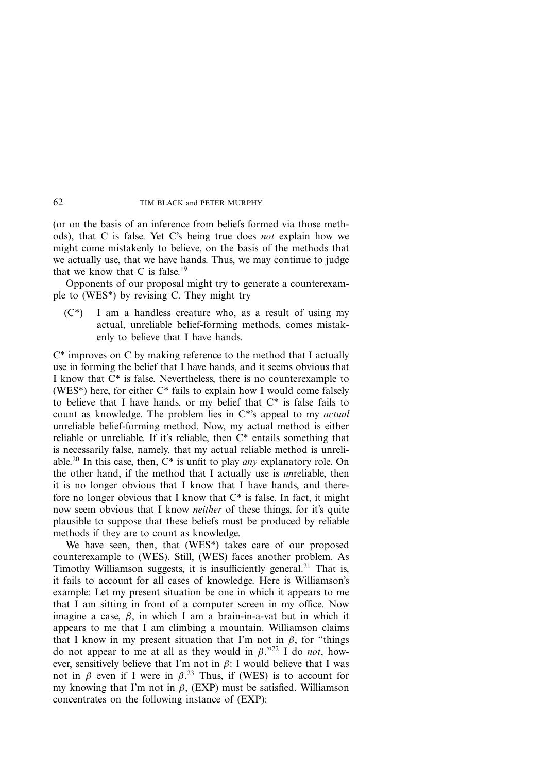(or on the basis of an inference from beliefs formed via those methods), that C is false. Yet C's being true does *not* explain how we might come mistakenly to believe, on the basis of the methods that we actually use, that we have hands. Thus, we may continue to judge that we know that C is false.<sup>19</sup>

Opponents of our proposal might try to generate a counterexample to (WES\*) by revising C. They might try

(C\*) I am a handless creature who, as a result of using my actual, unreliable belief-forming methods, comes mistakenly to believe that I have hands.

C\* improves on C by making reference to the method that I actually use in forming the belief that I have hands, and it seems obvious that I know that C\* is false. Nevertheless, there is no counterexample to (WES\*) here, for either C\* fails to explain how I would come falsely to believe that I have hands, or my belief that C\* is false fails to count as knowledge. The problem lies in C\*'s appeal to my *actual* unreliable belief-forming method. Now, my actual method is either reliable or unreliable. If it's reliable, then C\* entails something that is necessarily false, namely, that my actual reliable method is unreliable.20 In this case, then, C\* is unfit to play *any* explanatory role. On the other hand, if the method that I actually use is *un*reliable, then it is no longer obvious that I know that I have hands, and therefore no longer obvious that I know that  $C^*$  is false. In fact, it might now seem obvious that I know *neither* of these things, for it's quite plausible to suppose that these beliefs must be produced by reliable methods if they are to count as knowledge.

We have seen, then, that (WES\*) takes care of our proposed counterexample to (WES). Still, (WES) faces another problem. As Timothy Williamson suggests, it is insufficiently general.<sup>21</sup> That is, it fails to account for all cases of knowledge. Here is Williamson's example: Let my present situation be one in which it appears to me that I am sitting in front of a computer screen in my office. Now imagine a case,  $\beta$ , in which I am a brain-in-a-vat but in which it appears to me that I am climbing a mountain. Williamson claims that I know in my present situation that I'm not in  $\beta$ , for "things" do not appear to me at all as they would in  $\beta$ .<sup>"22</sup> I do *not*, however, sensitively believe that I'm not in  $\beta$ : I would believe that I was not in  $\beta$  even if I were in  $\beta$ .<sup>23</sup> Thus, if (WES) is to account for my knowing that I'm not in β, (EXP) must be satisfied. Williamson concentrates on the following instance of (EXP):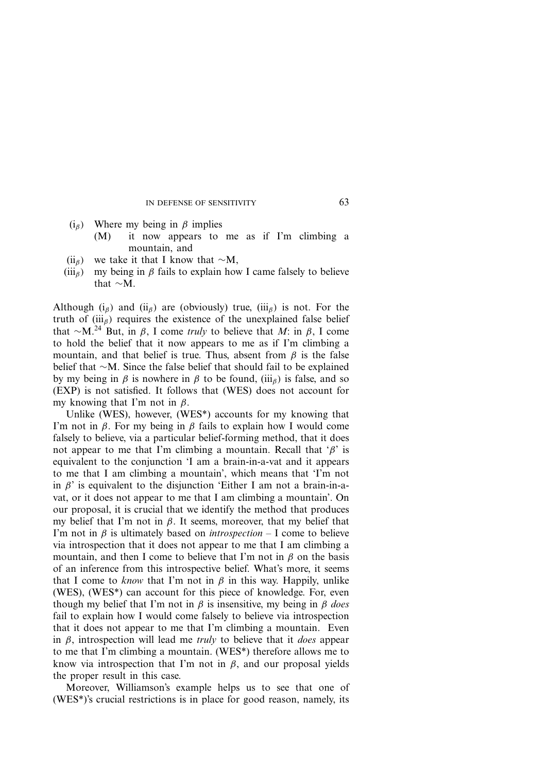- (i<sub>β</sub>) Where my being in  $\beta$  implies (M) it now appears to me as if I'm climbing a mountain, and
- (ii<sub>β</sub>) we take it that I know that ∼M,<br>(iii<sub>β</sub>) my being in β fails to explain how
- my being in  $\beta$  fails to explain how I came falsely to believe that ∼M.

Although (i<sub>β</sub>) and (ii<sub>β</sub>) are (obviously) true, (iii<sub>β</sub>) is not. For the truth of  $(iii<sub>β</sub>)$  requires the existence of the unexplained false belief that ∼M.<sup>24</sup> But, in  $\beta$ , I come *truly* to believe that *M*: in  $\beta$ , I come to hold the belief that it now appears to me as if I'm climbing a mountain, and that belief is true. Thus, absent from  $\beta$  is the false belief that ∼M. Since the false belief that should fail to be explained by my being in  $\beta$  is nowhere in  $\beta$  to be found, (iii<sub> $\beta$ </sub>) is false, and so (EXP) is not satisfied. It follows that (WES) does not account for my knowing that I'm not in  $\beta$ .

Unlike (WES), however, (WES\*) accounts for my knowing that I'm not in  $\beta$ . For my being in  $\beta$  fails to explain how I would come falsely to believe, via a particular belief-forming method, that it does not appear to me that I'm climbing a mountain. Recall that ' $β$ ' is equivalent to the conjunction 'I am a brain-in-a-vat and it appears to me that I am climbing a mountain', which means that 'I'm not in  $\beta'$  is equivalent to the disjunction 'Either I am not a brain-in-avat, or it does not appear to me that I am climbing a mountain'. On our proposal, it is crucial that we identify the method that produces my belief that I'm not in  $β$ . It seems, moreover, that my belief that I'm not in  $\beta$  is ultimately based on *introspection* – I come to believe via introspection that it does not appear to me that I am climbing a mountain, and then I come to believe that I'm not in  $\beta$  on the basis of an inference from this introspective belief. What's more, it seems that I come to *know* that I'm not in  $\beta$  in this way. Happily, unlike (WES), (WES\*) can account for this piece of knowledge. For, even though my belief that I'm not in β is insensitive, my being in β *does* fail to explain how I would come falsely to believe via introspection that it does not appear to me that I'm climbing a mountain. Even in β, introspection will lead me *truly* to believe that it *does* appear to me that I'm climbing a mountain. (WES\*) therefore allows me to know via introspection that I'm not in  $\beta$ , and our proposal yields the proper result in this case.

Moreover, Williamson's example helps us to see that one of (WES\*)'s crucial restrictions is in place for good reason, namely, its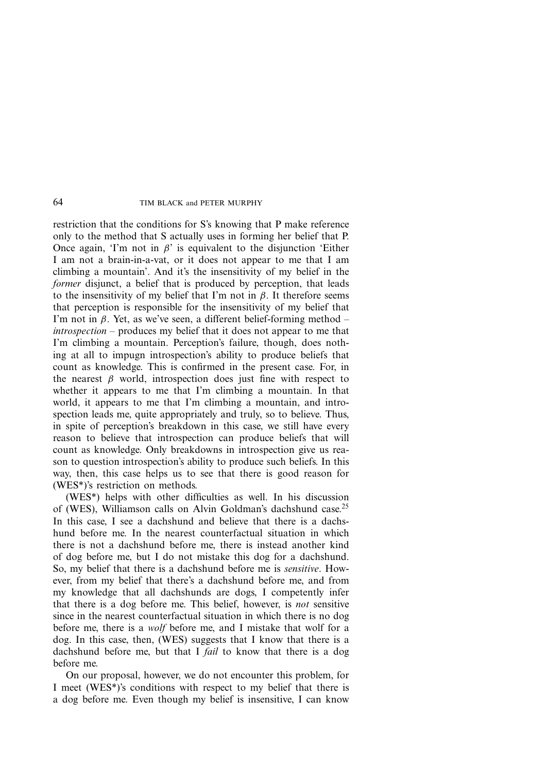restriction that the conditions for S's knowing that P make reference only to the method that S actually uses in forming her belief that P. Once again, 'I'm not in  $\beta$ ' is equivalent to the disjunction 'Either I am not a brain-in-a-vat, or it does not appear to me that I am climbing a mountain'. And it's the insensitivity of my belief in the *former* disjunct, a belief that is produced by perception, that leads to the insensitivity of my belief that I'm not in  $\beta$ . It therefore seems that perception is responsible for the insensitivity of my belief that I'm not in  $\beta$ . Yet, as we've seen, a different belief-forming method – *introspection –* produces my belief that it does not appear to me that I'm climbing a mountain. Perception's failure, though, does nothing at all to impugn introspection's ability to produce beliefs that count as knowledge. This is confirmed in the present case. For, in the nearest  $\beta$  world, introspection does just fine with respect to whether it appears to me that I'm climbing a mountain. In that world, it appears to me that I'm climbing a mountain, and introspection leads me, quite appropriately and truly, so to believe. Thus, in spite of perception's breakdown in this case, we still have every reason to believe that introspection can produce beliefs that will count as knowledge. Only breakdowns in introspection give us reason to question introspection's ability to produce such beliefs. In this way, then, this case helps us to see that there is good reason for (WES\*)'s restriction on methods.

(WES\*) helps with other difficulties as well. In his discussion of (WES), Williamson calls on Alvin Goldman's dachshund case.25 In this case, I see a dachshund and believe that there is a dachshund before me. In the nearest counterfactual situation in which there is not a dachshund before me, there is instead another kind of dog before me, but I do not mistake this dog for a dachshund. So, my belief that there is a dachshund before me is *sensitive*. However, from my belief that there's a dachshund before me, and from my knowledge that all dachshunds are dogs, I competently infer that there is a dog before me. This belief, however, is *not* sensitive since in the nearest counterfactual situation in which there is no dog before me, there is a *wolf* before me, and I mistake that wolf for a dog. In this case, then, (WES) suggests that I know that there is a dachshund before me, but that I *fail* to know that there is a dog before me.

On our proposal, however, we do not encounter this problem, for I meet (WES\*)'s conditions with respect to my belief that there is a dog before me. Even though my belief is insensitive, I can know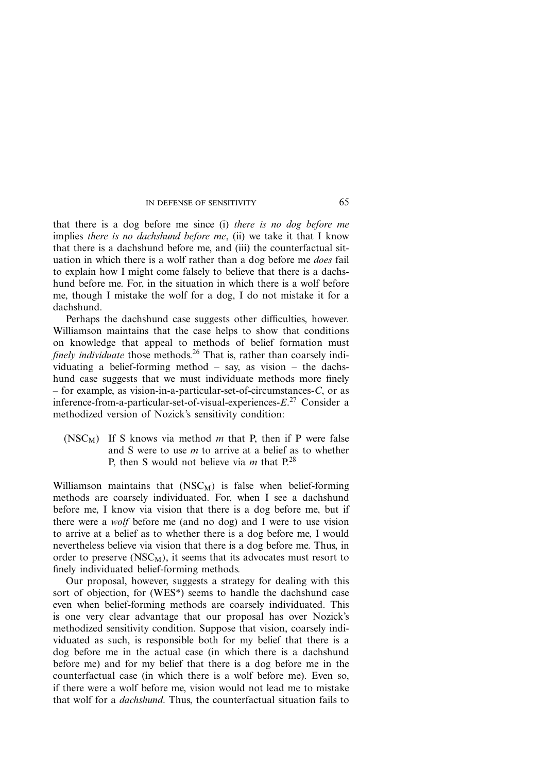that there is a dog before me since (i) *there is no dog before me* implies *there is no dachshund before me*, (ii) we take it that I know that there is a dachshund before me, and (iii) the counterfactual situation in which there is a wolf rather than a dog before me *does* fail to explain how I might come falsely to believe that there is a dachshund before me. For, in the situation in which there is a wolf before me, though I mistake the wolf for a dog, I do not mistake it for a dachshund.

Perhaps the dachshund case suggests other difficulties, however. Williamson maintains that the case helps to show that conditions on knowledge that appeal to methods of belief formation must *finely individuate* those methods.<sup>26</sup> That is, rather than coarsely individuating a belief-forming method – say, as vision – the dachshund case suggests that we must individuate methods more finely – for example, as vision-in-a-particular-set-of-circumstances-*C*, or as inference-from-a-particular-set-of-visual-experiences-*E*. <sup>27</sup> Consider a methodized version of Nozick's sensitivity condition:

(NSC<sub>M</sub>) If S knows via method  $m$  that P, then if P were false and S were to use *m* to arrive at a belief as to whether P, then S would not believe via *m* that P.<sup>28</sup>

Williamson maintains that  $(NSC_M)$  is false when belief-forming methods are coarsely individuated. For, when I see a dachshund before me, I know via vision that there is a dog before me, but if there were a *wolf* before me (and no dog) and I were to use vision to arrive at a belief as to whether there is a dog before me, I would nevertheless believe via vision that there is a dog before me. Thus, in order to preserve  $(NSC_M)$ , it seems that its advocates must resort to finely individuated belief-forming methods.

Our proposal, however, suggests a strategy for dealing with this sort of objection, for (WES\*) seems to handle the dachshund case even when belief-forming methods are coarsely individuated. This is one very clear advantage that our proposal has over Nozick's methodized sensitivity condition. Suppose that vision, coarsely individuated as such, is responsible both for my belief that there is a dog before me in the actual case (in which there is a dachshund before me) and for my belief that there is a dog before me in the counterfactual case (in which there is a wolf before me). Even so, if there were a wolf before me, vision would not lead me to mistake that wolf for a *dachshund*. Thus, the counterfactual situation fails to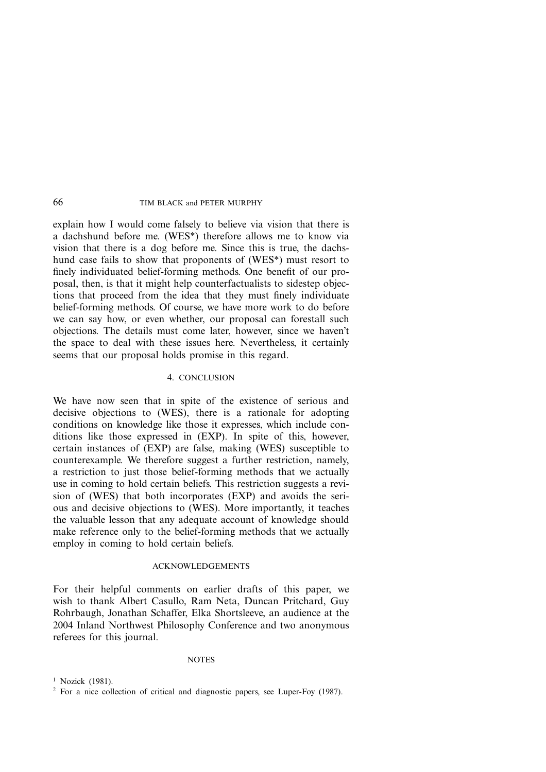explain how I would come falsely to believe via vision that there is a dachshund before me. (WES\*) therefore allows me to know via vision that there is a dog before me. Since this is true, the dachshund case fails to show that proponents of (WES\*) must resort to finely individuated belief-forming methods. One benefit of our proposal, then, is that it might help counterfactualists to sidestep objections that proceed from the idea that they must finely individuate belief-forming methods. Of course, we have more work to do before we can say how, or even whether, our proposal can forestall such objections. The details must come later, however, since we haven't the space to deal with these issues here. Nevertheless, it certainly seems that our proposal holds promise in this regard.

## 4. CONCLUSION

We have now seen that in spite of the existence of serious and decisive objections to (WES), there is a rationale for adopting conditions on knowledge like those it expresses, which include conditions like those expressed in (EXP). In spite of this, however, certain instances of (EXP) are false, making (WES) susceptible to counterexample. We therefore suggest a further restriction, namely, a restriction to just those belief-forming methods that we actually use in coming to hold certain beliefs. This restriction suggests a revision of (WES) that both incorporates (EXP) and avoids the serious and decisive objections to (WES). More importantly, it teaches the valuable lesson that any adequate account of knowledge should make reference only to the belief-forming methods that we actually employ in coming to hold certain beliefs.

## ACKNOWLEDGEMENTS

For their helpful comments on earlier drafts of this paper, we wish to thank Albert Casullo, Ram Neta, Duncan Pritchard, Guy Rohrbaugh, Jonathan Schaffer, Elka Shortsleeve, an audience at the 2004 Inland Northwest Philosophy Conference and two anonymous referees for this journal.

#### **NOTES**

 $1$  Nozick (1981).

<sup>&</sup>lt;sup>2</sup> For a nice collection of critical and diagnostic papers, see Luper-Foy (1987).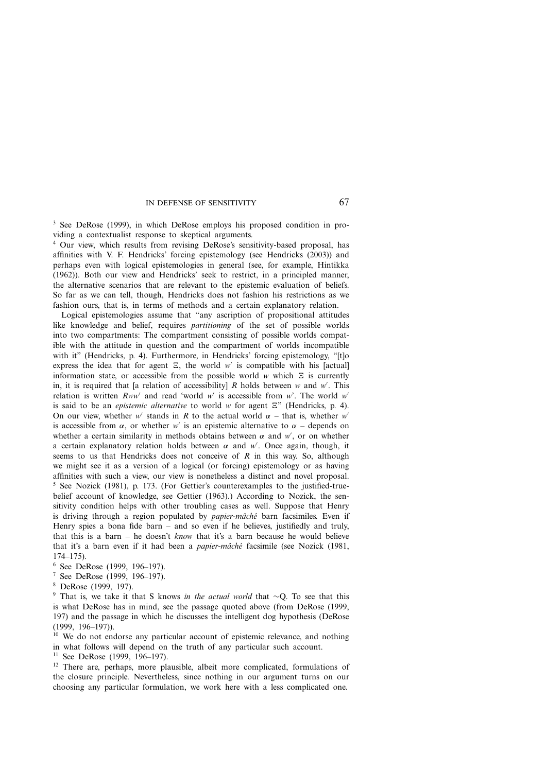<sup>3</sup> See DeRose (1999), in which DeRose employs his proposed condition in providing a contextualist response to skeptical arguments.

<sup>4</sup> Our view, which results from revising DeRose's sensitivity-based proposal, has affinities with V. F. Hendricks' forcing epistemology (see Hendricks (2003)) and perhaps even with logical epistemologies in general (see, for example, Hintikka (1962)). Both our view and Hendricks' seek to restrict, in a principled manner, the alternative scenarios that are relevant to the epistemic evaluation of beliefs. So far as we can tell, though, Hendricks does not fashion his restrictions as we fashion ours, that is, in terms of methods and a certain explanatory relation.

Logical epistemologies assume that "any ascription of propositional attitudes like knowledge and belief, requires *partitioning* of the set of possible worlds into two compartments: The compartment consisting of possible worlds compatible with the attitude in question and the compartment of worlds incompatible with it" (Hendricks, p. 4). Furthermore, in Hendricks' forcing epistemology, "[t]o express the idea that for agent  $\Xi$ , the world  $w'$  is compatible with his [actual] information state, or accessible from the possible world *w* which  $\Xi$  is currently in, it is required that [a relation of accessibility]  $R$  holds between  $w$  and  $w'$ . This relation is written *Rww* and read 'world *w*' is accessible from *w*'. The world *w*' is said to be an *epistemic alternative* to world w for agent  $\Xi$ " (Hendricks, p. 4). On our view, whether *w'* stands in *R* to the actual world  $\alpha$  – that is, whether *w'* is accessible from  $\alpha$ , or whether *w'* is an epistemic alternative to  $\alpha$  – depends on whether a certain similarity in methods obtains between  $\alpha$  and  $w'$ , or on whether a certain explanatory relation holds between  $\alpha$  and  $w'$ . Once again, though, it seems to us that Hendricks does not conceive of *R* in this way. So, although we might see it as a version of a logical (or forcing) epistemology or as having affinities with such a view, our view is nonetheless a distinct and novel proposal. <sup>5</sup> See Nozick (1981), p. 173. (For Gettier's counterexamples to the justified-truebelief account of knowledge, see Gettier (1963).) According to Nozick, the sensitivity condition helps with other troubling cases as well. Suppose that Henry is driving through a region populated by *papier-mâché* barn facsimiles. Even if Henry spies a bona fide barn – and so even if he believes, justifiedly and truly, that this is a barn – he doesn't *know* that it's a barn because he would believe that it's a barn even if it had been a *papier-mâché* facsimile (see Nozick (1981, 174–175).

<sup>6</sup> See DeRose (1999, 196–197).

<sup>7</sup> See DeRose (1999, 196–197).

<sup>8</sup> DeRose (1999, 197).

<sup>9</sup> That is, we take it that S knows *in the actual world* that ∼Q. To see that this is what DeRose has in mind, see the passage quoted above (from DeRose (1999, 197) and the passage in which he discusses the intelligent dog hypothesis (DeRose (1999, 196–197)).

<sup>10</sup> We do not endorse any particular account of epistemic relevance, and nothing in what follows will depend on the truth of any particular such account.

<sup>11</sup> See DeRose (1999, 196–197).

<sup>12</sup> There are, perhaps, more plausible, albeit more complicated, formulations of the closure principle. Nevertheless, since nothing in our argument turns on our choosing any particular formulation, we work here with a less complicated one.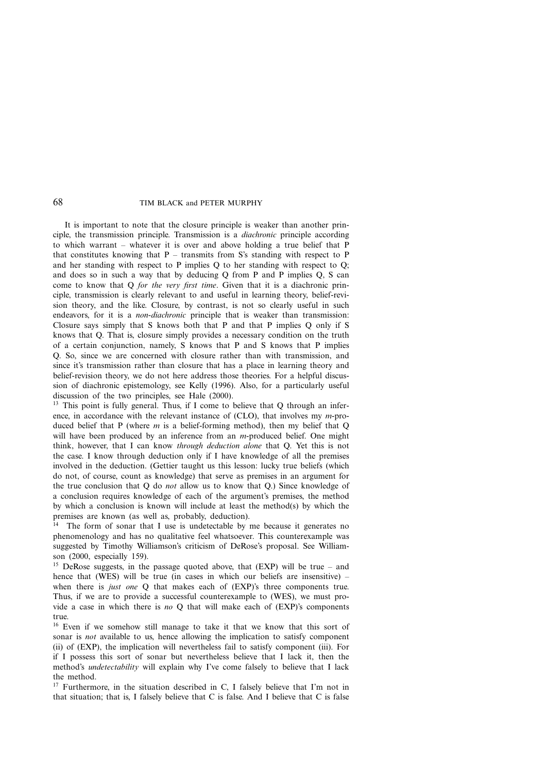It is important to note that the closure principle is weaker than another principle, the transmission principle. Transmission is a *diachronic* principle according to which warrant – whatever it is over and above holding a true belief that P that constitutes knowing that  $P -$  transmits from S's standing with respect to  $P$ and her standing with respect to P implies Q to her standing with respect to Q; and does so in such a way that by deducing Q from P and P implies Q, S can come to know that Q *for the very first time*. Given that it is a diachronic principle, transmission is clearly relevant to and useful in learning theory, belief-revision theory, and the like. Closure, by contrast, is not so clearly useful in such endeavors, for it is a *non-diachronic* principle that is weaker than transmission: Closure says simply that S knows both that P and that P implies Q only if S knows that Q. That is, closure simply provides a necessary condition on the truth of a certain conjunction, namely, S knows that P and S knows that P implies Q. So, since we are concerned with closure rather than with transmission, and since it's transmission rather than closure that has a place in learning theory and belief-revision theory, we do not here address those theories. For a helpful discussion of diachronic epistemology, see Kelly (1996). Also, for a particularly useful discussion of the two principles, see Hale (2000).

 $13$  This point is fully general. Thus, if I come to believe that Q through an inference, in accordance with the relevant instance of (CLO), that involves my *m*-produced belief that P (where *m* is a belief-forming method), then my belief that Q will have been produced by an inference from an *m*-produced belief. One might think, however, that I can know *through deduction alone* that Q. Yet this is not the case. I know through deduction only if I have knowledge of all the premises involved in the deduction. (Gettier taught us this lesson: lucky true beliefs (which do not, of course, count as knowledge) that serve as premises in an argument for the true conclusion that Q do *not* allow us to know that Q.) Since knowledge of a conclusion requires knowledge of each of the argument's premises, the method by which a conclusion is known will include at least the method(s) by which the premises are known (as well as, probably, deduction).

The form of sonar that I use is undetectable by me because it generates no phenomenology and has no qualitative feel whatsoever. This counterexample was suggested by Timothy Williamson's criticism of DeRose's proposal. See Williamson (2000, especially 159).

<sup>15</sup> DeRose suggests, in the passage quoted above, that  $(EXP)$  will be true – and hence that (WES) will be true (in cases in which our beliefs are insensitive) – when there is *just one* Q that makes each of (EXP)'s three components true. Thus, if we are to provide a successful counterexample to (WES), we must provide a case in which there is *no* Q that will make each of (EXP)'s components true.

<sup>16</sup> Even if we somehow still manage to take it that we know that this sort of sonar is *not* available to us, hence allowing the implication to satisfy component (ii) of (EXP), the implication will nevertheless fail to satisfy component (iii). For if I possess this sort of sonar but nevertheless believe that I lack it, then the method's *undetectability* will explain why I've come falsely to believe that I lack the method.

 $17$  Furthermore, in the situation described in C, I falsely believe that I'm not in that situation; that is, I falsely believe that  $C$  is false. And I believe that  $C$  is false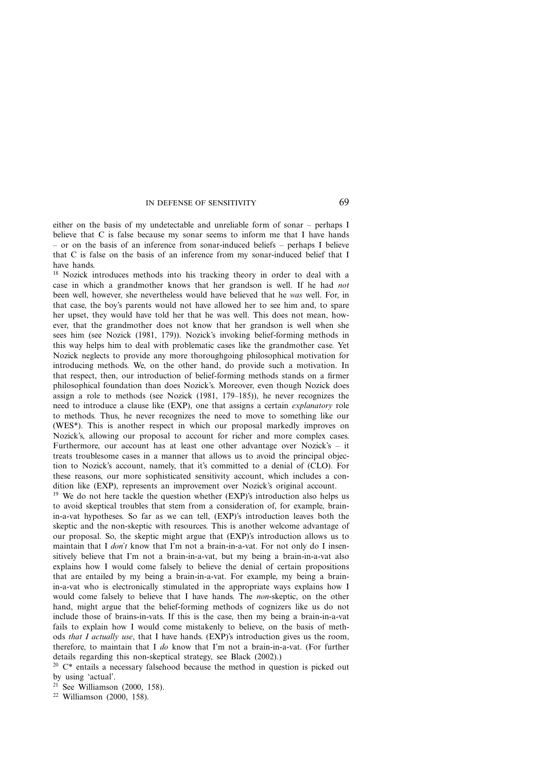either on the basis of my undetectable and unreliable form of sonar – perhaps I believe that C is false because my sonar seems to inform me that I have hands – or on the basis of an inference from sonar-induced beliefs – perhaps I believe that C is false on the basis of an inference from my sonar-induced belief that I have hands.

<sup>18</sup> Nozick introduces methods into his tracking theory in order to deal with a case in which a grandmother knows that her grandson is well. If he had *not* been well, however, she nevertheless would have believed that he *was* well. For, in that case, the boy's parents would not have allowed her to see him and, to spare her upset, they would have told her that he was well. This does not mean, however, that the grandmother does not know that her grandson is well when she sees him (see Nozick (1981, 179)). Nozick's invoking belief-forming methods in this way helps him to deal with problematic cases like the grandmother case. Yet Nozick neglects to provide any more thoroughgoing philosophical motivation for introducing methods. We, on the other hand, do provide such a motivation. In that respect, then, our introduction of belief-forming methods stands on a firmer philosophical foundation than does Nozick's. Moreover, even though Nozick does assign a role to methods (see Nozick (1981, 179–185)), he never recognizes the need to introduce a clause like (EXP), one that assigns a certain *explanatory* role to methods. Thus, he never recognizes the need to move to something like our (WES\*). This is another respect in which our proposal markedly improves on Nozick's, allowing our proposal to account for richer and more complex cases. Furthermore, our account has at least one other advantage over Nozick's – it treats troublesome cases in a manner that allows us to avoid the principal objection to Nozick's account, namely, that it's committed to a denial of (CLO). For these reasons, our more sophisticated sensitivity account, which includes a condition like (EXP), represents an improvement over Nozick's original account.

<sup>19</sup> We do not here tackle the question whether  $(EXP)$ 's introduction also helps us to avoid skeptical troubles that stem from a consideration of, for example, brainin-a-vat hypotheses. So far as we can tell, (EXP)'s introduction leaves both the skeptic and the non-skeptic with resources. This is another welcome advantage of our proposal. So, the skeptic might argue that (EXP)'s introduction allows us to maintain that I *don't* know that I'm not a brain-in-a-vat. For not only do I insensitively believe that I'm not a brain-in-a-vat, but my being a brain-in-a-vat also explains how I would come falsely to believe the denial of certain propositions that are entailed by my being a brain-in-a-vat. For example, my being a brainin-a-vat who is electronically stimulated in the appropriate ways explains how I would come falsely to believe that I have hands. The *non*-skeptic, on the other hand, might argue that the belief-forming methods of cognizers like us do not include those of brains-in-vats. If this is the case, then my being a brain-in-a-vat fails to explain how I would come mistakenly to believe, on the basis of methods *that I actually use*, that I have hands. (EXP)'s introduction gives us the room, therefore, to maintain that I *do* know that I'm not a brain-in-a-vat. (For further details regarding this non-skeptical strategy, see Black (2002).)

 $20$  C<sup>\*</sup> entails a necessary falsehood because the method in question is picked out by using 'actual'.

 $21$  See Williamson (2000, 158).

<sup>22</sup> Williamson (2000, 158).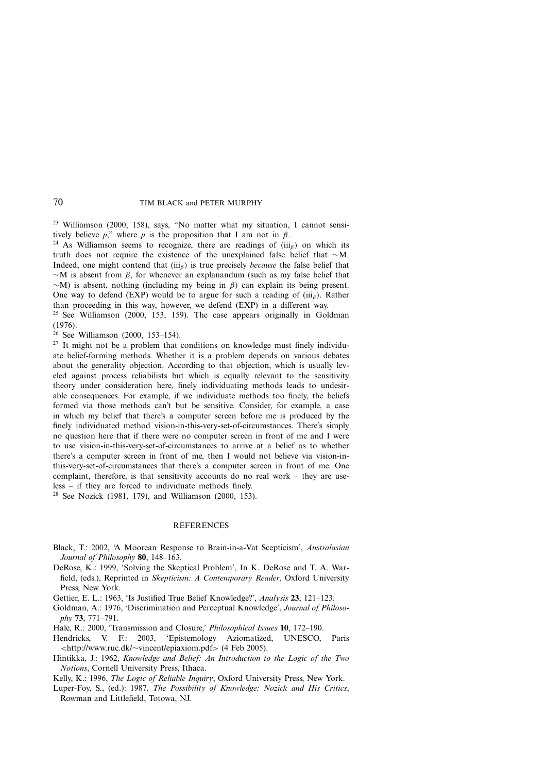<sup>23</sup> Williamson (2000, 158), says, "No matter what my situation, I cannot sensitively believe  $p$ ," where  $p$  is the proposition that I am not in  $\beta$ .

<sup>24</sup> As Williamson seems to recognize, there are readings of (iii<sub>β</sub>) on which its truth does not require the existence of the unexplained false belief that ∼M. Indeed, one might contend that (iii<sub>β</sub>) is true precisely *because* the false belief that  $\sim$ M is absent from  $\beta$ , for whenever an explanandum (such as my false belief that  $~\sim$ M) is absent, nothing (including my being in  $\beta$ ) can explain its being present. One way to defend (EXP) would be to argue for such a reading of (iii<sub>8</sub>). Rather than proceeding in this way, however, we defend (EXP) in a different way.

<sup>25</sup> See Williamson (2000, 153, 159). The case appears originally in Goldman (1976).

<sup>26</sup> See Williamson (2000, 153–154).

 $27$  It might not be a problem that conditions on knowledge must finely individuate belief-forming methods. Whether it is a problem depends on various debates about the generality objection. According to that objection, which is usually leveled against process reliabilists but which is equally relevant to the sensitivity theory under consideration here, finely individuating methods leads to undesirable consequences. For example, if we individuate methods too finely, the beliefs formed via those methods can't but be sensitive. Consider, for example, a case in which my belief that there's a computer screen before me is produced by the finely individuated method vision-in-this-very-set-of-circumstances. There's simply no question here that if there were no computer screen in front of me and I were to use vision-in-this-very-set-of-circumstances to arrive at a belief as to whether there's a computer screen in front of me, then I would not believe via vision-inthis-very-set-of-circumstances that there's a computer screen in front of me. One complaint, therefore, is that sensitivity accounts do no real work – they are useless – if they are forced to individuate methods finely.

<sup>28</sup> See Nozick (1981, 179), and Williamson (2000, 153).

#### REFERENCES

- Black, T.: 2002, 'A Moorean Response to Brain-in-a-Vat Scepticism', *Australasian Journal of Philosophy* **80**, 148–163.
- DeRose, K.: 1999, 'Solving the Skeptical Problem', In K. DeRose and T. A. Warfield, (eds.), Reprinted in *Skepticism: A Contemporary Reader*, Oxford University Press, New York.
- Gettier, E. L.: 1963, 'Is Justified True Belief Knowledge?', *Analysis* **23**, 121–123.
- Goldman, A.: 1976, 'Discrimination and Perceptual Knowledge', *Journal of Philosophy* **73**, 771–791.
- Hale, R.: 2000, 'Transmission and Closure,' *Philosophical Issues* **10**, 172–190.
- Hendricks, V. F.: 2003, 'Epistemology Aziomatized, UNESCO, Paris <http://www.ruc.dk/∼vincent/epiaxiom.pdf> (4 Feb 2005).
- Hintikka, J.: 1962, *Knowledge and Belief: An Introduction to the Logic of the Two Notions*, Cornell University Press, Ithaca.

Kelly, K.: 1996, *The Logic of Reliable Inquiry*, Oxford University Press, New York.

Luper-Foy, S., (ed.): 1987, *The Possibility of Knowledge: Nozick and His Critics*, Rowman and Littlefield, Totowa, NJ.